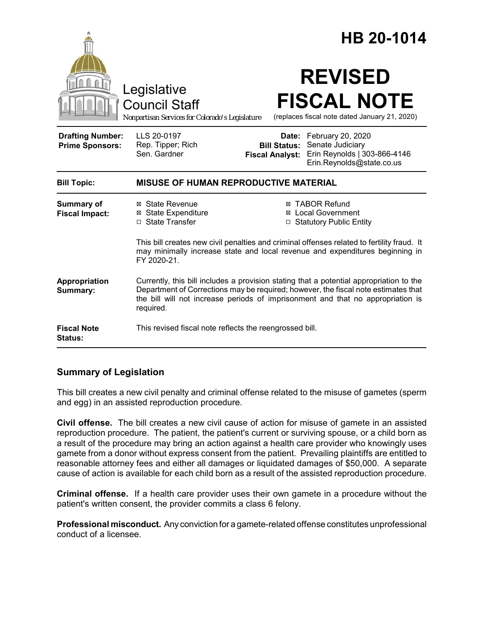|                                                   |                                                                                                                                                                                                                                                                               | HB 20-1014                                                                                                                                                |  |
|---------------------------------------------------|-------------------------------------------------------------------------------------------------------------------------------------------------------------------------------------------------------------------------------------------------------------------------------|-----------------------------------------------------------------------------------------------------------------------------------------------------------|--|
|                                                   | Legislative<br><b>Council Staff</b><br>Nonpartisan Services for Colorado's Legislature                                                                                                                                                                                        | <b>REVISED</b><br><b>FISCAL NOTE</b><br>(replaces fiscal note dated January 21, 2020)                                                                     |  |
| <b>Drafting Number:</b><br><b>Prime Sponsors:</b> | LLS 20-0197<br>Rep. Tipper; Rich<br>Sen. Gardner                                                                                                                                                                                                                              | Date: February 20, 2020<br>Senate Judiciary<br><b>Bill Status:</b><br>Erin Reynolds   303-866-4146<br><b>Fiscal Analyst:</b><br>Erin.Reynolds@state.co.us |  |
| <b>Bill Topic:</b>                                | MISUSE OF HUMAN REPRODUCTIVE MATERIAL                                                                                                                                                                                                                                         |                                                                                                                                                           |  |
| <b>Summary of</b><br><b>Fiscal Impact:</b>        | ⊠ State Revenue<br><b>⊠</b> State Expenditure<br>□ State Transfer                                                                                                                                                                                                             | ⊠ TABOR Refund<br><b>⊠</b> Local Government<br>□ Statutory Public Entity                                                                                  |  |
|                                                   | This bill creates new civil penalties and criminal offenses related to fertility fraud. It<br>may minimally increase state and local revenue and expenditures beginning in<br>FY 2020-21.                                                                                     |                                                                                                                                                           |  |
| Appropriation<br>Summary:                         | Currently, this bill includes a provision stating that a potential appropriation to the<br>Department of Corrections may be required; however, the fiscal note estimates that<br>the bill will not increase periods of imprisonment and that no appropriation is<br>required. |                                                                                                                                                           |  |
| <b>Fiscal Note</b><br>Status:                     | This revised fiscal note reflects the reengrossed bill.                                                                                                                                                                                                                       |                                                                                                                                                           |  |

# **Summary of Legislation**

This bill creates a new civil penalty and criminal offense related to the misuse of gametes (sperm and egg) in an assisted reproduction procedure.

**Civil offense.** The bill creates a new civil cause of action for misuse of gamete in an assisted reproduction procedure. The patient, the patient's current or surviving spouse, or a child born as a result of the procedure may bring an action against a health care provider who knowingly uses gamete from a donor without express consent from the patient. Prevailing plaintiffs are entitled to reasonable attorney fees and either all damages or liquidated damages of \$50,000. A separate cause of action is available for each child born as a result of the assisted reproduction procedure.

**Criminal offense.** If a health care provider uses their own gamete in a procedure without the patient's written consent, the provider commits a class 6 felony.

**Professional misconduct.** Any conviction for a gamete-related offense constitutes unprofessional conduct of a licensee.